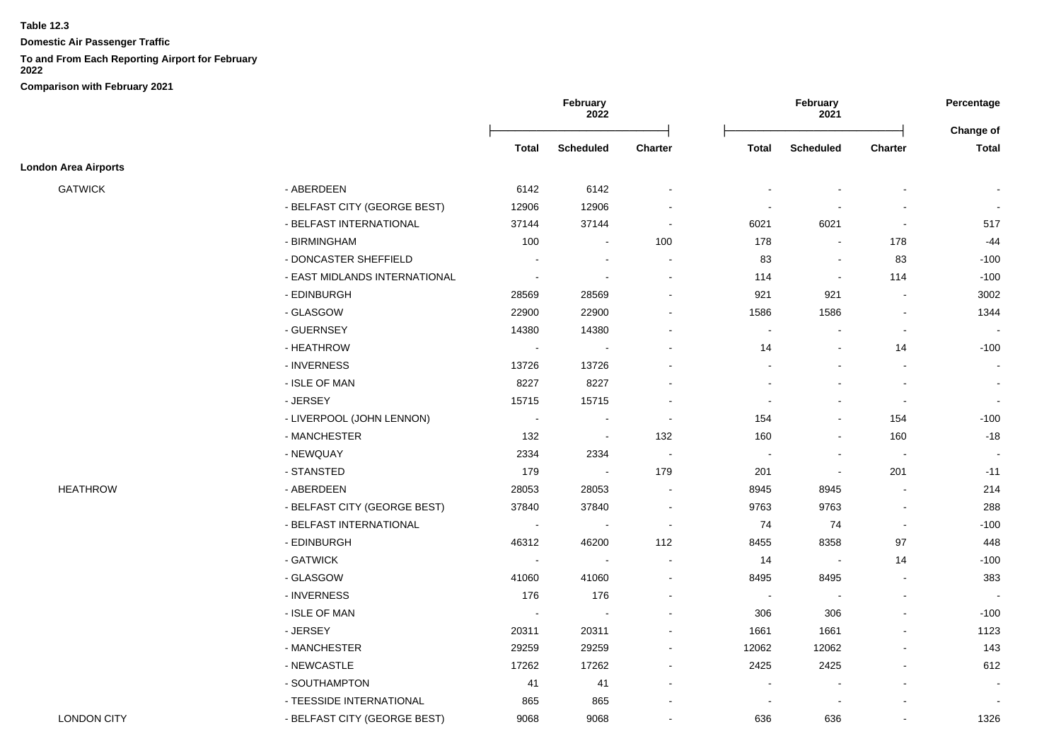**Domestic Air Passenger Traffic**

# **To and From Each Reporting Airport for February**

**2022**

```
Comparison with February 2021
```

|                             |                               | February<br>2022         |                          |                          | February<br>2021         |                          |                          |                           |
|-----------------------------|-------------------------------|--------------------------|--------------------------|--------------------------|--------------------------|--------------------------|--------------------------|---------------------------|
|                             |                               | <b>Total</b>             | <b>Scheduled</b>         | <b>Charter</b>           | <b>Total</b>             | <b>Scheduled</b>         | <b>Charter</b>           | Change of<br><b>Total</b> |
| <b>London Area Airports</b> |                               |                          |                          |                          |                          |                          |                          |                           |
| <b>GATWICK</b>              | - ABERDEEN                    | 6142                     | 6142                     |                          |                          |                          |                          |                           |
|                             | - BELFAST CITY (GEORGE BEST)  | 12906                    | 12906                    |                          |                          |                          |                          |                           |
|                             | - BELFAST INTERNATIONAL       | 37144                    | 37144                    | $\blacksquare$           | 6021                     | 6021                     | $\overline{\phantom{a}}$ | 517                       |
|                             | - BIRMINGHAM                  | 100                      | $\bullet$                | 100                      | 178                      |                          | 178                      | -44                       |
|                             | - DONCASTER SHEFFIELD         |                          | $\blacksquare$           | $\blacksquare$           | 83                       | $\overline{\phantom{a}}$ | 83                       | $-100$                    |
|                             | - EAST MIDLANDS INTERNATIONAL | $\overline{\phantom{a}}$ | $\overline{\phantom{a}}$ | ۰                        | 114                      | $\overline{\phantom{a}}$ | 114                      | $-100$                    |
|                             | - EDINBURGH                   | 28569                    | 28569                    | $\blacksquare$           | 921                      | 921                      | $\blacksquare$           | 3002                      |
|                             | - GLASGOW                     | 22900                    | 22900                    | $\blacksquare$           | 1586                     | 1586                     | $\blacksquare$           | 1344                      |
|                             | - GUERNSEY                    | 14380                    | 14380                    | $\blacksquare$           | $\blacksquare$           |                          | $\blacksquare$           | $\blacksquare$            |
|                             | - HEATHROW                    | $\blacksquare$           | $\blacksquare$           |                          | 14                       | $\blacksquare$           | 14                       | $-100$                    |
|                             | - INVERNESS                   | 13726                    | 13726                    |                          | $\blacksquare$           |                          | $\blacksquare$           | $\overline{\phantom{a}}$  |
|                             | - ISLE OF MAN                 | 8227                     | 8227                     |                          | $\overline{\phantom{a}}$ |                          | $\blacksquare$           | $\blacksquare$            |
|                             | - JERSEY                      | 15715                    | 15715                    |                          |                          |                          | $\overline{a}$           | $\blacksquare$            |
|                             | - LIVERPOOL (JOHN LENNON)     | $\blacksquare$           | $\blacksquare$           | $\blacksquare$           | 154                      |                          | 154                      | $-100$                    |
|                             | - MANCHESTER                  | 132                      | $\overline{\phantom{a}}$ | 132                      | 160                      |                          | 160                      | $-18$                     |
|                             | - NEWQUAY                     | 2334                     | 2334                     | $\overline{\phantom{a}}$ |                          |                          | $\blacksquare$           | $\sim$                    |
|                             | - STANSTED                    | 179                      | $\sim$                   | 179                      | 201                      | $\overline{\phantom{a}}$ | 201                      | $-11$                     |
| <b>HEATHROW</b>             | - ABERDEEN                    | 28053                    | 28053                    | $\sim$                   | 8945                     | 8945                     | $\sim$                   | 214                       |
|                             | - BELFAST CITY (GEORGE BEST)  | 37840                    | 37840                    | $\overline{\phantom{a}}$ | 9763                     | 9763                     | $\overline{a}$           | 288                       |
|                             | - BELFAST INTERNATIONAL       | $\blacksquare$           | $\sim$                   | $\blacksquare$           | 74                       | 74                       | $\blacksquare$           | $-100$                    |
|                             | - EDINBURGH                   | 46312                    | 46200                    | 112                      | 8455                     | 8358                     | 97                       | 448                       |
|                             | - GATWICK                     | $\blacksquare$           | $\blacksquare$           | $\overline{\phantom{a}}$ | 14                       | $\blacksquare$           | 14                       | $-100$                    |
|                             | - GLASGOW                     | 41060                    | 41060                    | $\blacksquare$           | 8495                     | 8495                     | $\blacksquare$           | 383                       |
|                             | - INVERNESS                   | 176                      | 176                      | $\blacksquare$           | $\sim$                   | $\overline{\phantom{a}}$ | $\mathbf{r}$             | $\sim$                    |
|                             | - ISLE OF MAN                 | $\blacksquare$           | $\sim$                   | $\blacksquare$           | 306                      | 306                      | $\overline{a}$           | $-100$                    |
|                             | - JERSEY                      | 20311                    | 20311                    |                          | 1661                     | 1661                     |                          | 1123                      |
|                             | - MANCHESTER                  | 29259                    | 29259                    |                          | 12062                    | 12062                    |                          | 143                       |
|                             | - NEWCASTLE                   | 17262                    | 17262                    | $\blacksquare$           | 2425                     | 2425                     | $\overline{\phantom{a}}$ | 612                       |
|                             | - SOUTHAMPTON                 | 41                       | 41                       | $\blacksquare$           | $\mathbf{r}$             |                          | $\overline{\phantom{a}}$ | $\sim$                    |
|                             | - TEESSIDE INTERNATIONAL      | 865                      | 865                      |                          |                          |                          |                          | $\blacksquare$            |
| <b>LONDON CITY</b>          | - BELFAST CITY (GEORGE BEST)  | 9068                     | 9068                     |                          | 636                      | 636                      |                          | 1326                      |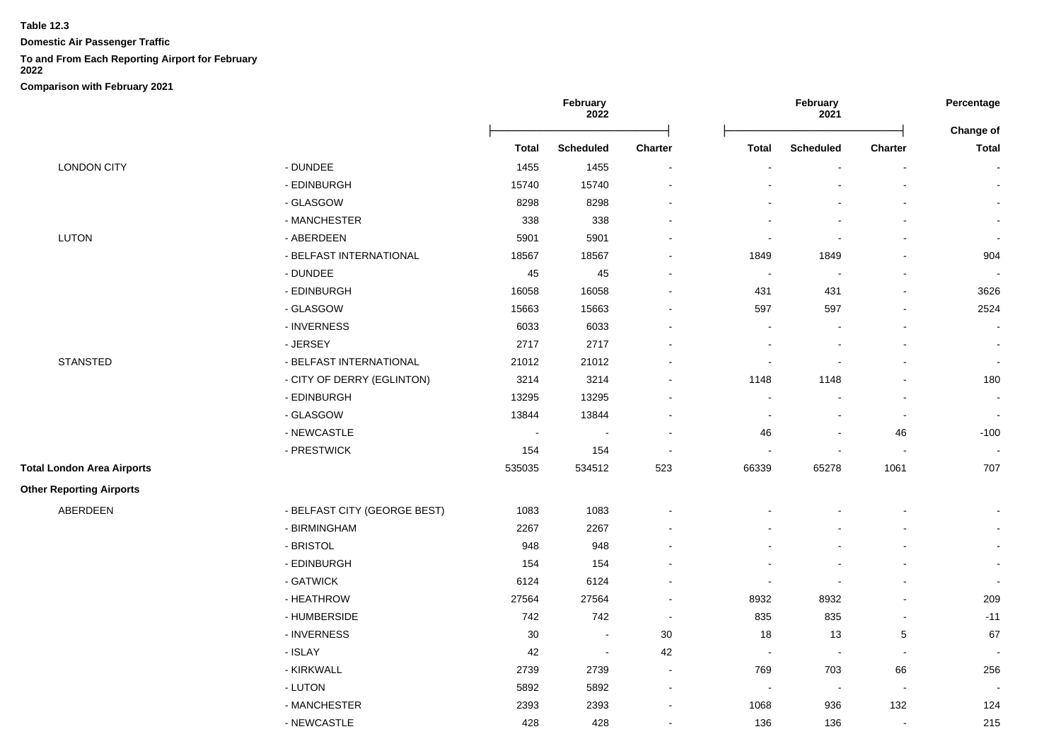**Domestic Air Passenger Traffic**

### **To and From Each Reporting Airport for February**

**2022**

|                                   |                              | February<br>2022 |                             |                          |                          | February<br>2021 |                          | Percentage<br>Change of |  |
|-----------------------------------|------------------------------|------------------|-----------------------------|--------------------------|--------------------------|------------------|--------------------------|-------------------------|--|
|                                   |                              | <b>Total</b>     | <b>Scheduled</b>            | Charter                  | <b>Total</b>             | <b>Scheduled</b> | <b>Charter</b>           | <b>Total</b>            |  |
| <b>LONDON CITY</b>                | - DUNDEE                     | 1455             | 1455                        |                          |                          |                  |                          | $\sim$                  |  |
|                                   | - EDINBURGH                  | 15740            | 15740                       |                          |                          |                  |                          | $\blacksquare$          |  |
|                                   | - GLASGOW                    | 8298             | 8298                        |                          |                          |                  |                          | $\blacksquare$          |  |
|                                   | - MANCHESTER                 | 338              | 338                         |                          |                          |                  |                          | $\blacksquare$          |  |
| <b>LUTON</b>                      | - ABERDEEN                   | 5901             | 5901                        |                          |                          |                  |                          | $\blacksquare$          |  |
|                                   | - BELFAST INTERNATIONAL      | 18567            | 18567                       |                          | 1849                     | 1849             |                          | 904                     |  |
|                                   | - DUNDEE                     | 45               | 45                          |                          | $\blacksquare$           |                  |                          | $\blacksquare$          |  |
|                                   | - EDINBURGH                  | 16058            | 16058                       |                          | 431                      | 431              | $\overline{\phantom{a}}$ | 3626                    |  |
|                                   | - GLASGOW                    | 15663            | 15663                       |                          | 597                      | 597              |                          | 2524                    |  |
|                                   | - INVERNESS                  | 6033             | 6033                        |                          | $\blacksquare$           |                  |                          | $\blacksquare$          |  |
|                                   | - JERSEY                     | 2717             | 2717                        |                          | $\overline{\phantom{a}}$ |                  |                          | $\sim$                  |  |
| <b>STANSTED</b>                   | - BELFAST INTERNATIONAL      | 21012            | 21012                       |                          | $\overline{\phantom{a}}$ |                  |                          | $\blacksquare$          |  |
|                                   | - CITY OF DERRY (EGLINTON)   | 3214             | 3214                        |                          | 1148                     | 1148             |                          | 180                     |  |
|                                   | - EDINBURGH                  | 13295            | 13295                       |                          | $\blacksquare$           |                  |                          | $\sim$                  |  |
|                                   | - GLASGOW                    | 13844            | 13844                       | $\sim$                   | $\overline{\phantom{a}}$ |                  | $\blacksquare$           | $\blacksquare$          |  |
|                                   | - NEWCASTLE                  | $\sim$           | $\sim$                      | $\overline{\phantom{a}}$ | 46                       |                  | 46                       | $-100$                  |  |
|                                   | - PRESTWICK                  | 154              | 154                         | $\overline{\phantom{a}}$ | $\overline{\phantom{a}}$ |                  |                          |                         |  |
| <b>Total London Area Airports</b> |                              | 535035           | 534512                      | 523                      | 66339                    | 65278            | 1061                     | 707                     |  |
| <b>Other Reporting Airports</b>   |                              |                  |                             |                          |                          |                  |                          |                         |  |
| ABERDEEN                          | - BELFAST CITY (GEORGE BEST) | 1083             | 1083                        |                          |                          |                  |                          |                         |  |
|                                   | - BIRMINGHAM                 | 2267             | 2267                        |                          |                          |                  |                          |                         |  |
|                                   | - BRISTOL                    | 948              | 948                         |                          |                          |                  |                          | $\sim$                  |  |
|                                   | - EDINBURGH                  | 154              | 154                         |                          |                          |                  |                          | $\blacksquare$          |  |
|                                   | - GATWICK                    | 6124             | 6124                        |                          | $\blacksquare$           |                  |                          | $\sim$                  |  |
|                                   | - HEATHROW                   | 27564            | 27564                       |                          | 8932                     | 8932             |                          | 209                     |  |
|                                   | - HUMBERSIDE                 | 742              | 742                         | $\sim$                   | 835                      | 835              | $\blacksquare$           | $-11$                   |  |
|                                   | - INVERNESS                  | 30               | $\sim$                      | 30                       | 18                       | 13               | 5                        | 67                      |  |
|                                   | - ISLAY                      | 42               | $\mathcal{L}_{\mathcal{A}}$ | 42                       | $\sim$                   | $\sim$           | $\blacksquare$           |                         |  |
|                                   | - KIRKWALL                   | 2739             | 2739                        | $\overline{\phantom{a}}$ | 769                      | 703              | 66                       | 256                     |  |
|                                   | - LUTON                      | 5892             | 5892                        | $\blacksquare$           | $\blacksquare$           | $\blacksquare$   | $\overline{\phantom{a}}$ | $\blacksquare$          |  |
|                                   | - MANCHESTER                 | 2393             | 2393                        | $\overline{\phantom{a}}$ | 1068                     | 936              | 132                      | 124                     |  |
|                                   | - NEWCASTLE                  | 428              | 428                         | $\sim$                   | 136                      | 136              | $\overline{a}$           | 215                     |  |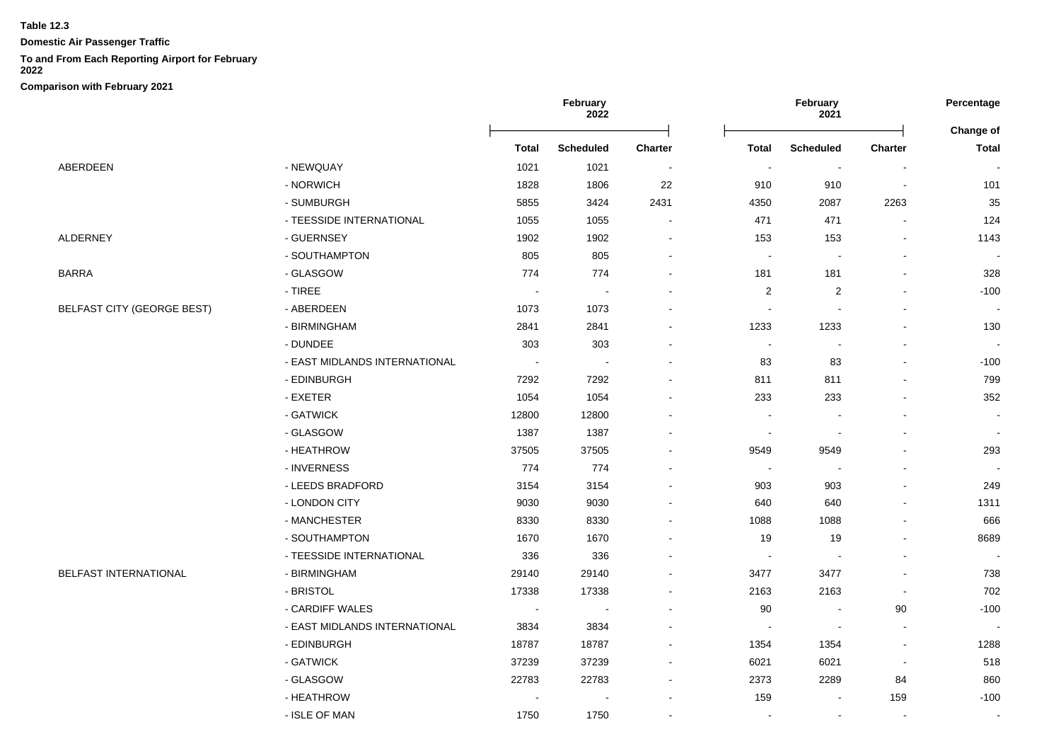**Domestic Air Passenger Traffic**

### **To and From Each Reporting Airport for February**

**2022**

|                                   |                               | February<br>2022         |                          |                | <b>February</b><br>2021  | Percentage<br><b>Change of</b> |                          |                |
|-----------------------------------|-------------------------------|--------------------------|--------------------------|----------------|--------------------------|--------------------------------|--------------------------|----------------|
|                                   |                               | Total                    | <b>Scheduled</b>         | Charter        | <b>Total</b>             | <b>Scheduled</b>               | Charter                  | <b>Total</b>   |
| ABERDEEN                          | - NEWQUAY                     | 1021                     | 1021                     |                | $\blacksquare$           | $\blacksquare$                 |                          |                |
|                                   | - NORWICH                     | 1828                     | 1806                     | 22             | 910                      | 910                            |                          | 101            |
|                                   | - SUMBURGH                    | 5855                     | 3424                     | 2431           | 4350                     | 2087                           | 2263                     | 35             |
|                                   | - TEESSIDE INTERNATIONAL      | 1055                     | 1055                     |                | 471                      | 471                            |                          | 124            |
| <b>ALDERNEY</b>                   | - GUERNSEY                    | 1902                     | 1902                     |                | 153                      | 153                            |                          | 1143           |
|                                   | - SOUTHAMPTON                 | 805                      | 805                      | $\overline{a}$ | $\overline{\phantom{a}}$ | $\blacksquare$                 |                          | $\sim$         |
| <b>BARRA</b>                      | - GLASGOW                     | 774                      | 774                      |                | 181                      | 181                            | $\blacksquare$           | 328            |
|                                   | - TIREE                       | $\sim$                   | $\overline{\phantom{a}}$ |                | $\overline{c}$           | $\overline{2}$                 |                          | $-100$         |
| <b>BELFAST CITY (GEORGE BEST)</b> | - ABERDEEN                    | 1073                     | 1073                     |                |                          |                                |                          |                |
|                                   | - BIRMINGHAM                  | 2841                     | 2841                     |                | 1233                     | 1233                           |                          | 130            |
|                                   | - DUNDEE                      | 303                      | 303                      |                | $\blacksquare$           | $\blacksquare$                 |                          |                |
|                                   | - EAST MIDLANDS INTERNATIONAL | $\overline{\phantom{a}}$ |                          |                | 83                       | 83                             |                          | $-100$         |
|                                   | - EDINBURGH                   | 7292                     | 7292                     |                | 811                      | 811                            |                          | 799            |
|                                   | - EXETER                      | 1054                     | 1054                     |                | 233                      | 233                            |                          | 352            |
|                                   | - GATWICK                     | 12800                    | 12800                    |                | $\blacksquare$           |                                |                          | $\blacksquare$ |
|                                   | - GLASGOW                     | 1387                     | 1387                     |                | $\blacksquare$           | $\sim$                         |                          | $\sim$         |
|                                   | - HEATHROW                    | 37505                    | 37505                    |                | 9549                     | 9549                           |                          | 293            |
|                                   | - INVERNESS                   | 774                      | 774                      |                | $\overline{\phantom{a}}$ |                                |                          |                |
|                                   | - LEEDS BRADFORD              | 3154                     | 3154                     |                | 903                      | 903                            |                          | 249            |
|                                   | - LONDON CITY                 | 9030                     | 9030                     |                | 640                      | 640                            |                          | 1311           |
|                                   | - MANCHESTER                  | 8330                     | 8330                     |                | 1088                     | 1088                           |                          | 666            |
|                                   | - SOUTHAMPTON                 | 1670                     | 1670                     |                | 19                       | 19                             |                          | 8689           |
|                                   | - TEESSIDE INTERNATIONAL      | 336                      | 336                      |                | $\blacksquare$           | $\overline{\phantom{a}}$       |                          |                |
| <b>BELFAST INTERNATIONAL</b>      | - BIRMINGHAM                  | 29140                    | 29140                    |                | 3477                     | 3477                           |                          | 738            |
|                                   | - BRISTOL                     | 17338                    | 17338                    |                | 2163                     | 2163                           |                          | 702            |
|                                   | - CARDIFF WALES               |                          |                          |                | 90                       |                                | $90\,$                   | $-100$         |
|                                   | - EAST MIDLANDS INTERNATIONAL | 3834                     | 3834                     |                |                          | $\blacksquare$                 | $\overline{\phantom{a}}$ |                |
|                                   | - EDINBURGH                   | 18787                    | 18787                    | $\blacksquare$ | 1354                     | 1354                           |                          | 1288           |
|                                   | - GATWICK                     | 37239                    | 37239                    |                | 6021                     | 6021                           |                          | 518            |
|                                   | - GLASGOW                     | 22783                    | 22783                    | $\blacksquare$ | 2373                     | 2289                           | 84                       | 860            |
|                                   | - HEATHROW                    |                          |                          |                | 159                      | $\blacksquare$                 | 159                      | $-100$         |
|                                   | - ISLE OF MAN                 | 1750                     | 1750                     | $\overline{a}$ | $\sim$                   | $\sim$                         | $\blacksquare$           | $\sim$         |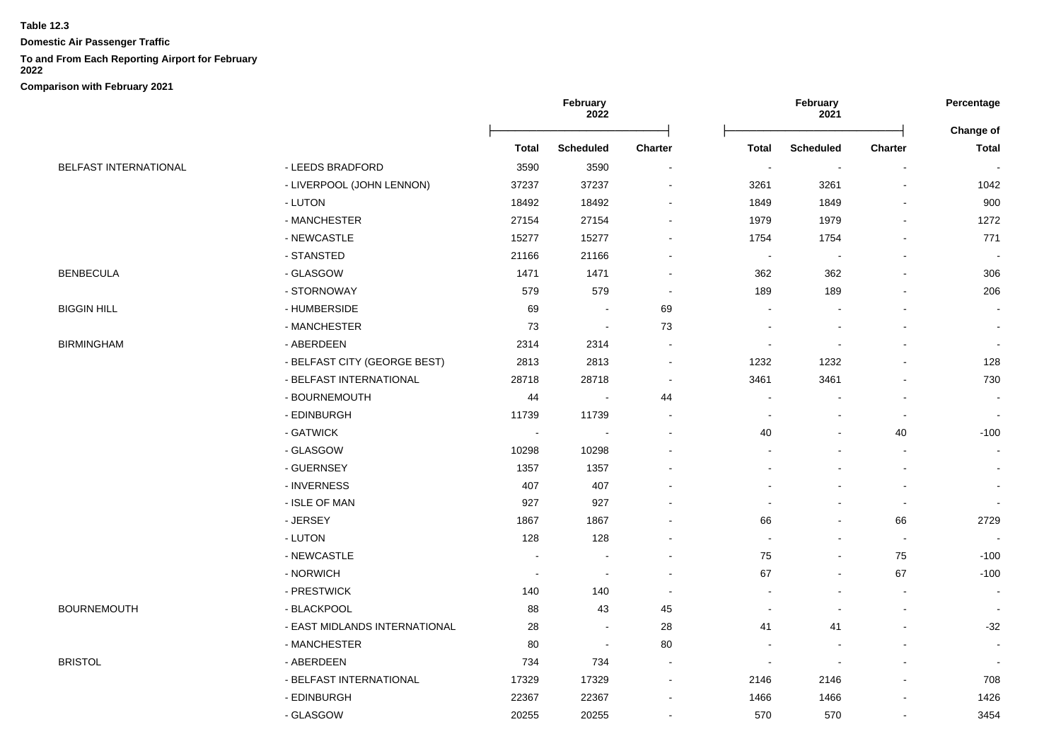**Domestic Air Passenger Traffic**

### **To and From Each Reporting Airport for February**

**2022**

|                              |                               | February<br>2022         |                          |                | February<br>2021 |                  |                              | Percentage<br>Change of  |
|------------------------------|-------------------------------|--------------------------|--------------------------|----------------|------------------|------------------|------------------------------|--------------------------|
|                              |                               | Total                    | <b>Scheduled</b>         | Charter        | <b>Total</b>     | <b>Scheduled</b> | <b>Charter</b>               | <b>Total</b>             |
| <b>BELFAST INTERNATIONAL</b> | - LEEDS BRADFORD              | 3590                     | 3590                     |                |                  |                  |                              |                          |
|                              | - LIVERPOOL (JOHN LENNON)     | 37237                    | 37237                    |                | 3261             | 3261             | $\blacksquare$               | 1042                     |
|                              | - LUTON                       | 18492                    | 18492                    |                | 1849             | 1849             |                              | 900                      |
|                              | - MANCHESTER                  | 27154                    | 27154                    |                | 1979             | 1979             | $\blacksquare$               | 1272                     |
|                              | - NEWCASTLE                   | 15277                    | 15277                    |                | 1754             | 1754             |                              | 771                      |
|                              | - STANSTED                    | 21166                    | 21166                    |                | $\blacksquare$   | $\blacksquare$   |                              |                          |
| <b>BENBECULA</b>             | - GLASGOW                     | 1471                     | 1471                     |                | 362              | 362              |                              | 306                      |
|                              | - STORNOWAY                   | 579                      | 579                      |                | 189              | 189              |                              | 206                      |
| <b>BIGGIN HILL</b>           | - HUMBERSIDE                  | 69                       |                          | 69             |                  |                  |                              |                          |
|                              | - MANCHESTER                  | 73                       | $\blacksquare$           | 73             |                  |                  |                              |                          |
| BIRMINGHAM                   | - ABERDEEN                    | 2314                     | 2314                     |                |                  |                  |                              |                          |
|                              | - BELFAST CITY (GEORGE BEST)  | 2813                     | 2813                     | $\blacksquare$ | 1232             | 1232             |                              | 128                      |
|                              | - BELFAST INTERNATIONAL       | 28718                    | 28718                    | $\blacksquare$ | 3461             | 3461             | $\overline{a}$               | 730                      |
|                              | - BOURNEMOUTH                 | 44                       | $\blacksquare$           | 44             |                  |                  | $\qquad \qquad \blacksquare$ |                          |
|                              | - EDINBURGH                   | 11739                    | 11739                    |                |                  |                  | $\blacksquare$               | $\overline{\phantom{a}}$ |
|                              | - GATWICK                     | $\sim$                   | $\sim$                   |                | 40               |                  | 40                           | $-100$                   |
|                              | - GLASGOW                     | 10298                    | 10298                    |                |                  |                  |                              |                          |
|                              | - GUERNSEY                    | 1357                     | 1357                     |                |                  |                  | $\blacksquare$               |                          |
|                              | - INVERNESS                   | 407                      | 407                      |                |                  |                  |                              |                          |
|                              | - ISLE OF MAN                 | 927                      | 927                      |                |                  |                  | $\blacksquare$               |                          |
|                              | - JERSEY                      | 1867                     | 1867                     |                | 66               |                  | 66                           | 2729                     |
|                              | - LUTON                       | 128                      | 128                      |                |                  |                  | $\blacksquare$               |                          |
|                              | - NEWCASTLE                   | $\blacksquare$           | $\overline{\phantom{a}}$ |                | 75               | $\blacksquare$   | 75                           | $-100$                   |
|                              | - NORWICH                     | $\overline{\phantom{a}}$ |                          |                | 67               |                  | 67                           | $-100$                   |
|                              | - PRESTWICK                   | 140                      | 140                      |                |                  |                  |                              |                          |
| BOURNEMOUTH                  | - BLACKPOOL                   | 88                       | 43                       | 45             |                  |                  | $\sim$                       |                          |
|                              | - EAST MIDLANDS INTERNATIONAL | 28                       | $\overline{\phantom{a}}$ | 28             | 41               | 41               | ä,                           | $-32$                    |
|                              | - MANCHESTER                  | 80                       | $\blacksquare$           | 80             |                  |                  |                              |                          |
| <b>BRISTOL</b>               | - ABERDEEN                    | 734                      | 734                      |                |                  |                  |                              |                          |
|                              | - BELFAST INTERNATIONAL       | 17329                    | 17329                    |                | 2146             | 2146             | $\qquad \qquad \blacksquare$ | 708                      |
|                              | - EDINBURGH                   | 22367                    | 22367                    |                | 1466             | 1466             |                              | 1426                     |
|                              | - GLASGOW                     | 20255                    | 20255                    |                | 570              | 570              | $\blacksquare$               | 3454                     |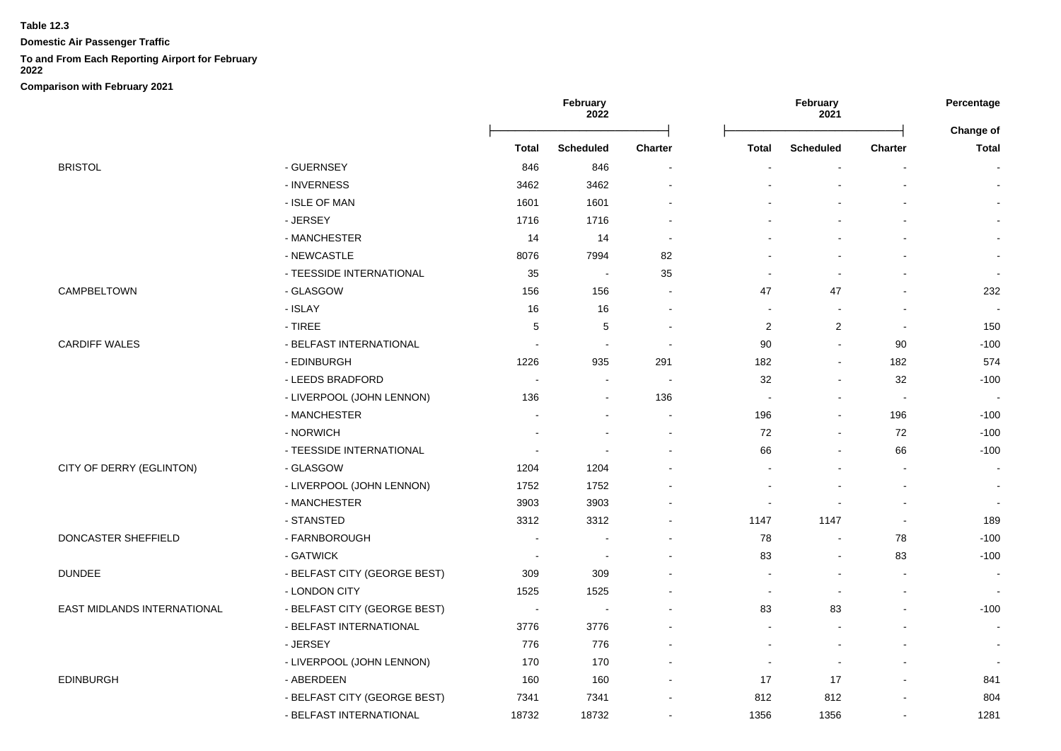**Domestic Air Passenger Traffic**

### **To and From Each Reporting Airport for February**

**2022**

|                             |                              |                          | February<br>2022         |                          | February<br>2021         |                          | Percentage               |                           |
|-----------------------------|------------------------------|--------------------------|--------------------------|--------------------------|--------------------------|--------------------------|--------------------------|---------------------------|
|                             |                              | <b>Total</b>             | <b>Scheduled</b>         | <b>Charter</b>           | <b>Total</b>             | <b>Scheduled</b>         | <b>Charter</b>           | Change of<br><b>Total</b> |
| <b>BRISTOL</b>              | - GUERNSEY                   | 846                      | 846                      |                          |                          |                          |                          |                           |
|                             | - INVERNESS                  | 3462                     | 3462                     |                          |                          |                          |                          | $\blacksquare$            |
|                             | - ISLE OF MAN                | 1601                     | 1601                     |                          |                          |                          | $\sim$                   | $\blacksquare$            |
|                             | - JERSEY                     | 1716                     | 1716                     |                          |                          |                          |                          | $\blacksquare$            |
|                             | - MANCHESTER                 | 14                       | 14                       | $\blacksquare$           |                          |                          |                          | $\blacksquare$            |
|                             | - NEWCASTLE                  | 8076                     | 7994                     | 82                       |                          | $\blacksquare$           | $\overline{a}$           | $\blacksquare$            |
|                             | - TEESSIDE INTERNATIONAL     | 35                       | $\sim$                   | 35                       | $\blacksquare$           | $\blacksquare$           | $\sim$                   | $\blacksquare$            |
| CAMPBELTOWN                 | - GLASGOW                    | 156                      | 156                      |                          | 47                       | 47                       | $\overline{a}$           | 232                       |
|                             | - ISLAY                      | 16                       | 16                       |                          |                          |                          |                          | $\blacksquare$            |
|                             | - TIREE                      | 5                        | 5                        |                          | 2                        | $\overline{2}$           | $\sim$                   | 150                       |
| <b>CARDIFF WALES</b>        | - BELFAST INTERNATIONAL      | ÷,                       | $\sim$                   | $\overline{\phantom{a}}$ | 90                       | $\blacksquare$           | 90                       | $-100$                    |
|                             | - EDINBURGH                  | 1226                     | 935                      | 291                      | 182                      | $\blacksquare$           | 182                      | 574                       |
|                             | - LEEDS BRADFORD             | $\overline{\phantom{a}}$ | $\blacksquare$           | $\sim$                   | 32                       | $\blacksquare$           | 32                       | $-100$                    |
|                             | - LIVERPOOL (JOHN LENNON)    | 136                      | $\sim$                   | 136                      | $\overline{\phantom{a}}$ | $\blacksquare$           | $\sim$                   |                           |
|                             | - MANCHESTER                 | ÷                        | $\sim$                   |                          | 196                      | $\sim$                   | 196                      | $-100$                    |
|                             | - NORWICH                    |                          | $\overline{a}$           |                          | 72                       | $\blacksquare$           | 72                       | $-100$                    |
|                             | - TEESSIDE INTERNATIONAL     |                          |                          |                          | 66                       | $\sim$                   | 66                       | $-100$                    |
| CITY OF DERRY (EGLINTON)    | - GLASGOW                    | 1204                     | 1204                     |                          |                          |                          |                          | $\blacksquare$            |
|                             | - LIVERPOOL (JOHN LENNON)    | 1752                     | 1752                     |                          |                          |                          | $\sim$                   | $\blacksquare$            |
|                             | - MANCHESTER                 | 3903                     | 3903                     |                          | $\overline{\phantom{a}}$ | $\overline{\phantom{a}}$ | $\overline{\phantom{a}}$ | $\blacksquare$            |
|                             | - STANSTED                   | 3312                     | 3312                     |                          | 1147                     | 1147                     | $\blacksquare$           | 189                       |
| DONCASTER SHEFFIELD         | - FARNBOROUGH                | $\sim$                   | $\overline{\phantom{a}}$ |                          | 78                       | $\sim$                   | 78                       | $-100$                    |
|                             | - GATWICK                    | $\sim$                   | $\overline{\phantom{a}}$ |                          | 83                       | $\sim$                   | 83                       | $-100$                    |
| <b>DUNDEE</b>               | - BELFAST CITY (GEORGE BEST) | 309                      | 309                      |                          |                          |                          |                          | $\blacksquare$            |
|                             | - LONDON CITY                | 1525                     | 1525                     |                          | $\sim$                   | $\sim$                   | $\overline{a}$           | $\blacksquare$            |
| EAST MIDLANDS INTERNATIONAL | - BELFAST CITY (GEORGE BEST) | $\sim$                   | $\overline{\phantom{a}}$ |                          | 83                       | 83                       | $\sim$                   | $-100$                    |
|                             | - BELFAST INTERNATIONAL      | 3776                     | 3776                     |                          | $\overline{a}$           | $\sim$                   |                          | $\blacksquare$            |
|                             | - JERSEY                     | 776                      | 776                      |                          | $\blacksquare$           | $\blacksquare$           | $\sim$                   | $\blacksquare$            |
|                             | - LIVERPOOL (JOHN LENNON)    | 170                      | 170                      |                          | $\blacksquare$           | $\blacksquare$           | $\blacksquare$           | $\blacksquare$            |
| EDINBURGH                   | - ABERDEEN                   | 160                      | 160                      |                          | 17                       | 17                       | $\blacksquare$           | 841                       |
|                             | - BELFAST CITY (GEORGE BEST) | 7341                     | 7341                     |                          | 812                      | 812                      |                          | 804                       |
|                             | - BELFAST INTERNATIONAL      | 18732                    | 18732                    |                          | 1356                     | 1356                     | $\sim$                   | 1281                      |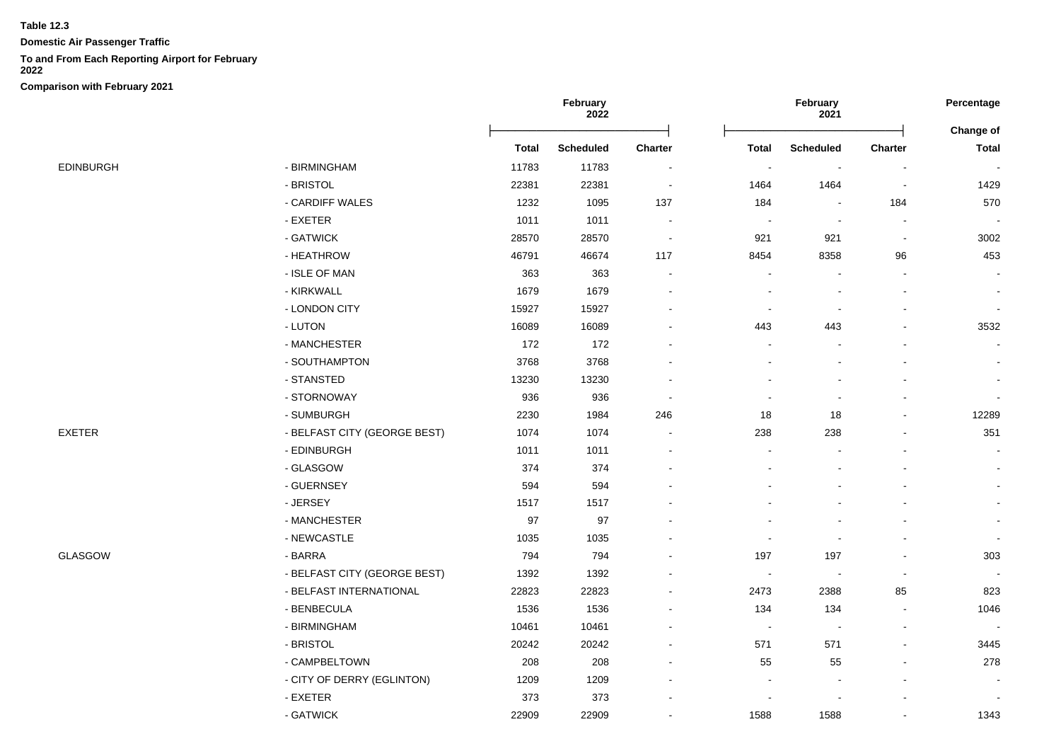**Domestic Air Passenger Traffic**

# **To and From Each Reporting Airport for February**

**2022**

|                |                              | February<br>2022 |                  |                |                          | February<br>2021         | Percentage<br>Change of  |        |
|----------------|------------------------------|------------------|------------------|----------------|--------------------------|--------------------------|--------------------------|--------|
|                |                              | <b>Total</b>     | <b>Scheduled</b> | <b>Charter</b> | <b>Total</b>             | <b>Scheduled</b>         | <b>Charter</b>           | Total  |
| EDINBURGH      | - BIRMINGHAM                 | 11783            | 11783            | $\blacksquare$ | $\overline{\phantom{a}}$ |                          |                          |        |
|                | - BRISTOL                    | 22381            | 22381            | $\sim$         | 1464                     | 1464                     | ÷,                       | 1429   |
|                | - CARDIFF WALES              | 1232             | 1095             | 137            | 184                      | $\overline{\phantom{a}}$ | 184                      | 570    |
|                | - EXETER                     | 1011             | 1011             |                |                          | $\blacksquare$           |                          | $\sim$ |
|                | - GATWICK                    | 28570            | 28570            | $\sim$         | 921                      | 921                      | $\overline{\phantom{a}}$ | 3002   |
|                | - HEATHROW                   | 46791            | 46674            | 117            | 8454                     | 8358                     | 96                       | 453    |
|                | - ISLE OF MAN                | 363              | 363              | $\sim$         | $\sim$                   | $\overline{a}$           | $\blacksquare$           | $\sim$ |
|                | - KIRKWALL                   | 1679             | 1679             |                | $\blacksquare$           |                          |                          |        |
|                | - LONDON CITY                | 15927            | 15927            |                |                          |                          |                          |        |
|                | - LUTON                      | 16089            | 16089            |                | 443                      | 443                      |                          | 3532   |
|                | - MANCHESTER                 | 172              | 172              |                | $\blacksquare$           |                          |                          |        |
|                | - SOUTHAMPTON                | 3768             | 3768             |                | L,                       |                          |                          |        |
|                | - STANSTED                   | 13230            | 13230            |                |                          |                          |                          |        |
|                | - STORNOWAY                  | 936              | 936              |                |                          |                          |                          |        |
|                | - SUMBURGH                   | 2230             | 1984             | 246            | 18                       | 18                       |                          | 12289  |
| EXETER         | - BELFAST CITY (GEORGE BEST) | 1074             | 1074             |                | 238                      | 238                      |                          | 351    |
|                | - EDINBURGH                  | 1011             | 1011             |                |                          |                          |                          |        |
|                | - GLASGOW                    | 374              | 374              |                |                          |                          |                          |        |
|                | - GUERNSEY                   | 594              | 594              |                |                          |                          |                          |        |
|                | - JERSEY                     | 1517             | 1517             |                |                          |                          |                          |        |
|                | - MANCHESTER                 | 97               | 97               |                |                          |                          |                          |        |
|                | - NEWCASTLE                  | 1035             | 1035             |                |                          |                          |                          | $\sim$ |
| <b>GLASGOW</b> | - BARRA                      | 794              | 794              |                | 197                      | 197                      |                          | 303    |
|                | - BELFAST CITY (GEORGE BEST) | 1392             | 1392             |                | $\sim$                   | $\sim$                   | $\blacksquare$           |        |
|                | - BELFAST INTERNATIONAL      | 22823            | 22823            |                | 2473                     | 2388                     | 85                       | 823    |
|                | - BENBECULA                  | 1536             | 1536             |                | 134                      | 134                      |                          | 1046   |
|                | - BIRMINGHAM                 | 10461            | 10461            |                | $\overline{\phantom{a}}$ | $\overline{\phantom{a}}$ |                          |        |
|                | - BRISTOL                    | 20242            | 20242            |                | 571                      | 571                      | $\blacksquare$           | 3445   |
|                | - CAMPBELTOWN                | 208              | 208              |                | 55                       | 55                       | $\blacksquare$           | 278    |
|                | - CITY OF DERRY (EGLINTON)   | 1209             | 1209             |                |                          |                          |                          |        |
|                | - EXETER                     | 373              | 373              |                |                          |                          |                          |        |
|                | - GATWICK                    | 22909            | 22909            |                | 1588                     | 1588                     | $\blacksquare$           | 1343   |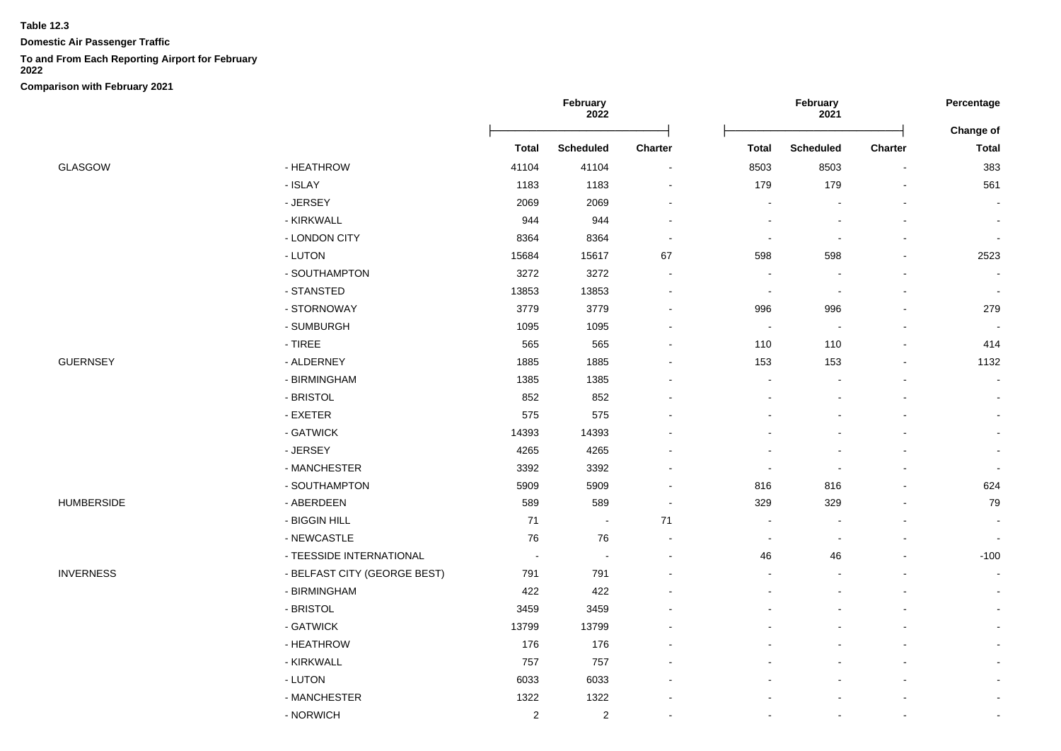**Domestic Air Passenger Traffic**

### **To and From Each Reporting Airport for February**

**2022**

|                   |                              | February<br>2022         |                          |                              |                          | Percentage               |              |                                  |
|-------------------|------------------------------|--------------------------|--------------------------|------------------------------|--------------------------|--------------------------|--------------|----------------------------------|
|                   |                              | <b>Total</b>             | Scheduled                | Charter                      | <b>Total</b>             | <b>Scheduled</b>         | Charter      | <b>Change of</b><br><b>Total</b> |
| GLASGOW           | - HEATHROW                   | 41104                    | 41104                    |                              | 8503                     | 8503                     |              | 383                              |
|                   | - ISLAY                      | 1183                     | 1183                     |                              | 179                      | 179                      |              | 561                              |
|                   | - JERSEY                     | 2069                     | 2069                     |                              | $\overline{\phantom{a}}$ |                          |              |                                  |
|                   | - KIRKWALL                   | 944                      | 944                      |                              |                          |                          |              |                                  |
|                   | - LONDON CITY                | 8364                     | 8364                     | $\blacksquare$               |                          |                          |              | $\blacksquare$                   |
|                   | - LUTON                      | 15684                    | 15617                    | 67                           | 598                      | 598                      |              | 2523                             |
|                   | - SOUTHAMPTON                | 3272                     | 3272                     |                              | $\blacksquare$           |                          |              |                                  |
|                   | - STANSTED                   | 13853                    | 13853                    |                              | $\overline{\phantom{a}}$ | $\overline{\phantom{a}}$ |              | $\sim$                           |
|                   | - STORNOWAY                  | 3779                     | 3779                     |                              | 996                      | 996                      |              | 279                              |
|                   | - SUMBURGH                   | 1095                     | 1095                     |                              | ч.                       |                          |              |                                  |
|                   | $-$ TIREE                    | 565                      | 565                      |                              | 110                      | 110                      |              | 414                              |
| <b>GUERNSEY</b>   | - ALDERNEY                   | 1885                     | 1885                     |                              | 153                      | 153                      |              | 1132                             |
|                   | - BIRMINGHAM                 | 1385                     | 1385                     |                              |                          |                          |              | $\blacksquare$                   |
|                   | - BRISTOL                    | 852                      | 852                      |                              |                          |                          |              | $\sim$                           |
|                   | - EXETER                     | 575                      | 575                      |                              |                          |                          |              |                                  |
|                   | - GATWICK                    | 14393                    | 14393                    |                              |                          |                          |              | $\blacksquare$                   |
|                   | - JERSEY                     | 4265                     | 4265                     |                              |                          |                          |              |                                  |
|                   | - MANCHESTER                 | 3392                     | 3392                     |                              |                          |                          |              |                                  |
|                   | - SOUTHAMPTON                | 5909                     | 5909                     |                              | 816                      | 816                      |              | 624                              |
| <b>HUMBERSIDE</b> | - ABERDEEN                   | 589                      | 589                      | $\overline{\phantom{a}}$     | 329                      | 329                      |              | 79                               |
|                   | - BIGGIN HILL                | 71                       | $\sim$                   | 71                           | ÷,                       |                          |              |                                  |
|                   | - NEWCASTLE                  | 76                       | 76                       | $\qquad \qquad \blacksquare$ | $\overline{\phantom{a}}$ | $\overline{\phantom{a}}$ |              | $\blacksquare$                   |
|                   | - TEESSIDE INTERNATIONAL     | $\overline{\phantom{a}}$ | $\overline{\phantom{a}}$ |                              | 46                       | 46                       |              | $-100$                           |
| <b>INVERNESS</b>  | - BELFAST CITY (GEORGE BEST) | 791                      | 791                      |                              | ÷,                       |                          |              |                                  |
|                   | - BIRMINGHAM                 | 422                      | 422                      |                              |                          |                          |              |                                  |
|                   | - BRISTOL                    | 3459                     | 3459                     |                              |                          |                          |              |                                  |
|                   | - GATWICK                    | 13799                    | 13799                    |                              |                          |                          |              |                                  |
|                   | - HEATHROW                   | 176                      | 176                      |                              |                          |                          |              |                                  |
|                   | - KIRKWALL                   | 757                      | 757                      |                              |                          |                          |              |                                  |
|                   | - LUTON                      | 6033                     | 6033                     |                              |                          |                          |              |                                  |
|                   | - MANCHESTER                 | 1322                     | 1322                     |                              |                          |                          |              |                                  |
|                   | - NORWICH                    | $\overline{2}$           | $\overline{c}$           | $\sim$                       |                          | $\overline{a}$           | $\mathbf{r}$ | $\sim$                           |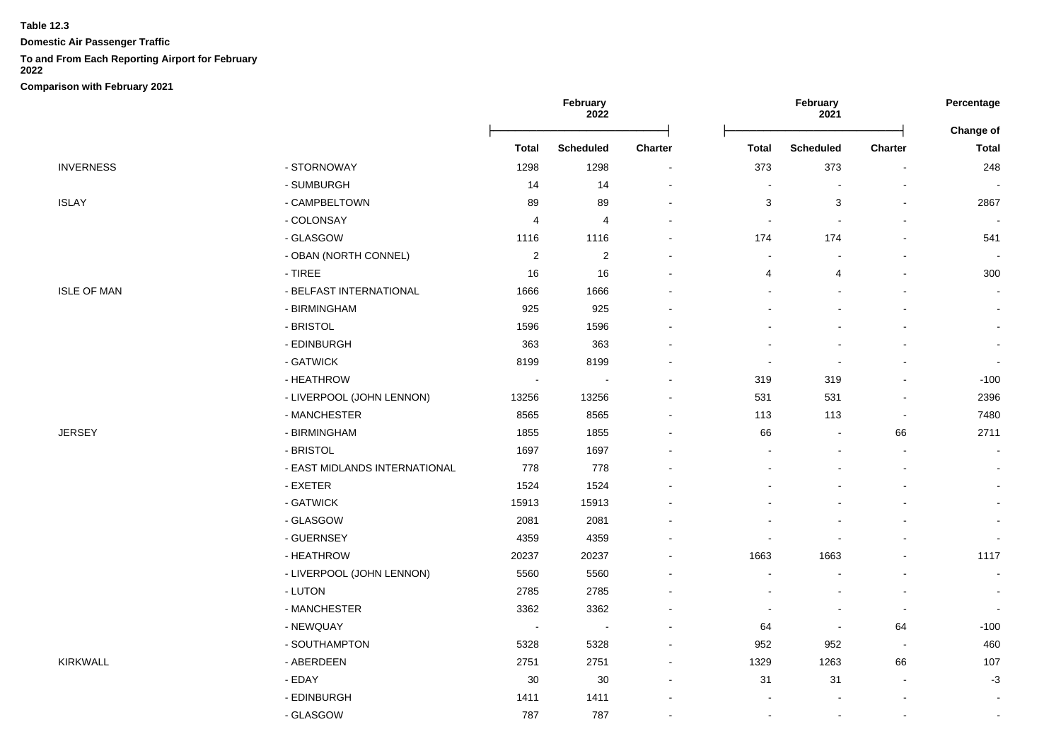**Domestic Air Passenger Traffic**

### **To and From Each Reporting Airport for February**

**2022**

|                    |                               | February<br>2022 |                  |                          | February<br>2021         | Percentage<br>Change of |                          |                |
|--------------------|-------------------------------|------------------|------------------|--------------------------|--------------------------|-------------------------|--------------------------|----------------|
|                    |                               | <b>Total</b>     | <b>Scheduled</b> | <b>Charter</b>           | <b>Total</b>             | <b>Scheduled</b>        | Charter                  | <b>Total</b>   |
| <b>INVERNESS</b>   | - STORNOWAY                   | 1298             | 1298             |                          | 373                      | 373                     |                          | 248            |
|                    | - SUMBURGH                    | 14               | 14               |                          |                          |                         |                          |                |
| <b>ISLAY</b>       | - CAMPBELTOWN                 | 89               | 89               |                          | 3                        | 3                       | ä,                       | 2867           |
|                    | - COLONSAY                    | 4                | 4                |                          | $\sim$                   |                         | $\blacksquare$           | $\sim$         |
|                    | - GLASGOW                     | 1116             | 1116             |                          | 174                      | 174                     |                          | 541            |
|                    | - OBAN (NORTH CONNEL)         | $\overline{c}$   | $\overline{2}$   |                          | $\sim$                   |                         |                          | $\blacksquare$ |
|                    | $-$ TIREE                     | 16               | 16               |                          | 4                        | 4                       | $\sim$                   | 300            |
| <b>ISLE OF MAN</b> | - BELFAST INTERNATIONAL       | 1666             | 1666             |                          |                          |                         |                          |                |
|                    | - BIRMINGHAM                  | 925              | 925              |                          |                          |                         |                          |                |
|                    | - BRISTOL                     | 1596             | 1596             |                          |                          |                         |                          |                |
|                    | - EDINBURGH                   | 363              | 363              |                          |                          |                         |                          |                |
|                    | - GATWICK                     | 8199             | 8199             |                          |                          |                         |                          |                |
|                    | - HEATHROW                    | $\sim$           |                  |                          | 319                      | 319                     | $\blacksquare$           | $-100$         |
|                    | - LIVERPOOL (JOHN LENNON)     | 13256            | 13256            |                          | 531                      | 531                     | $\blacksquare$           | 2396           |
|                    | - MANCHESTER                  | 8565             | 8565             |                          | 113                      | 113                     | $\blacksquare$           | 7480           |
| JERSEY             | - BIRMINGHAM                  | 1855             | 1855             |                          | 66                       |                         | 66                       | 2711           |
|                    | - BRISTOL                     | 1697             | 1697             |                          |                          |                         |                          |                |
|                    | - EAST MIDLANDS INTERNATIONAL | 778              | 778              |                          |                          |                         |                          |                |
|                    | - EXETER                      | 1524             | 1524             |                          |                          |                         |                          |                |
|                    | - GATWICK                     | 15913            | 15913            |                          |                          |                         |                          |                |
|                    | - GLASGOW                     | 2081             | 2081             |                          |                          |                         |                          |                |
|                    | - GUERNSEY                    | 4359             | 4359             |                          |                          |                         |                          |                |
|                    | - HEATHROW                    | 20237            | 20237            |                          | 1663                     | 1663                    |                          | 1117           |
|                    | - LIVERPOOL (JOHN LENNON)     | 5560             | 5560             |                          | $\overline{\phantom{a}}$ |                         |                          |                |
|                    | - LUTON                       | 2785             | 2785             |                          |                          |                         |                          |                |
|                    | - MANCHESTER                  | 3362             | 3362             |                          |                          |                         | $\overline{a}$           |                |
|                    | - NEWQUAY                     | $\sim$           |                  |                          | 64                       | $\blacksquare$          | 64                       | $-100$         |
|                    | - SOUTHAMPTON                 | 5328             | 5328             |                          | 952                      | 952                     | $\blacksquare$           | 460            |
| KIRKWALL           | - ABERDEEN                    | 2751             | 2751             |                          | 1329                     | 1263                    | 66                       | 107            |
|                    | - EDAY                        | 30               | 30               |                          | 31                       | 31                      | $\sim$                   | $-3$           |
|                    | - EDINBURGH                   | 1411             | 1411             |                          |                          |                         |                          |                |
|                    | - GLASGOW                     | 787              | 787              | $\overline{\phantom{a}}$ | $\sim$                   | $\sim$                  | $\overline{\phantom{a}}$ |                |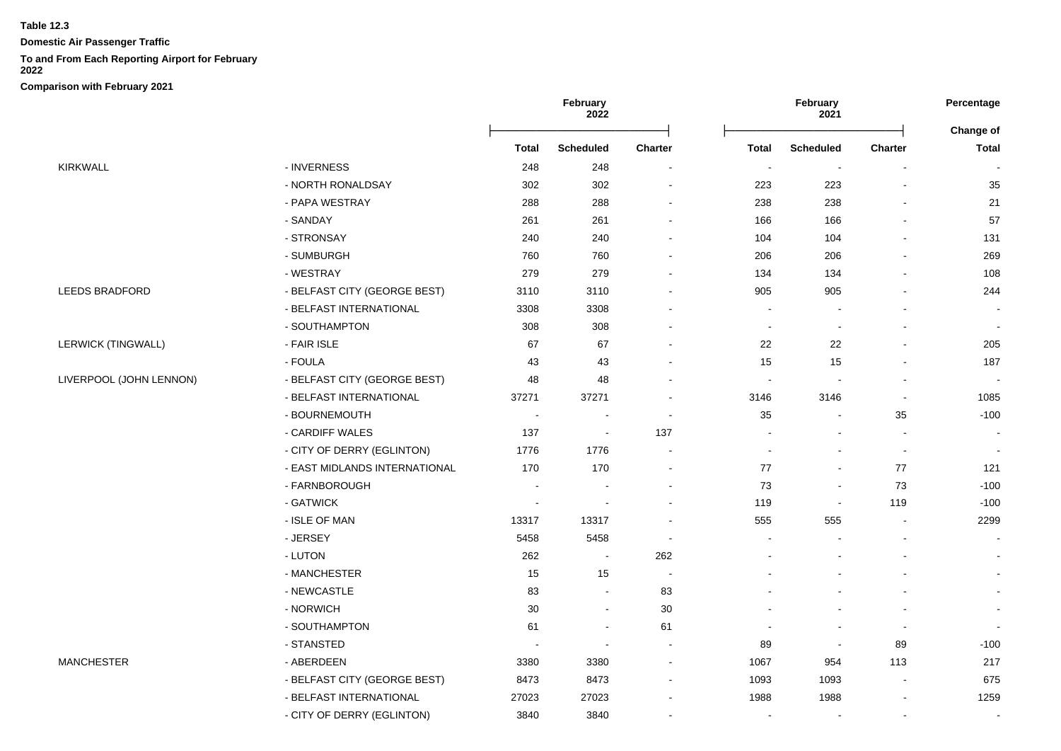**Domestic Air Passenger Traffic**

### **To and From Each Reporting Airport for February**

**2022**

|                         |                               | February<br>2022         |                          |         | February<br>2021         |                          |                | Percentage<br><b>Change of</b> |
|-------------------------|-------------------------------|--------------------------|--------------------------|---------|--------------------------|--------------------------|----------------|--------------------------------|
|                         |                               | <b>Total</b>             | <b>Scheduled</b>         | Charter | <b>Total</b>             | <b>Scheduled</b>         | Charter        | <b>Total</b>                   |
| KIRKWALL                | - INVERNESS                   | 248                      | 248                      |         | $\overline{\phantom{a}}$ | $\blacksquare$           |                |                                |
|                         | - NORTH RONALDSAY             | 302                      | 302                      |         | 223                      | 223                      |                | 35                             |
|                         | - PAPA WESTRAY                | 288                      | 288                      |         | 238                      | 238                      |                | 21                             |
|                         | - SANDAY                      | 261                      | 261                      |         | 166                      | 166                      |                | 57                             |
|                         | - STRONSAY                    | 240                      | 240                      |         | 104                      | 104                      |                | 131                            |
|                         | - SUMBURGH                    | 760                      | 760                      |         | 206                      | 206                      |                | 269                            |
|                         | - WESTRAY                     | 279                      | 279                      |         | 134                      | 134                      |                | 108                            |
| <b>LEEDS BRADFORD</b>   | - BELFAST CITY (GEORGE BEST)  | 3110                     | 3110                     |         | 905                      | 905                      |                | 244                            |
|                         | - BELFAST INTERNATIONAL       | 3308                     | 3308                     |         |                          |                          |                |                                |
|                         | - SOUTHAMPTON                 | 308                      | 308                      |         | $\blacksquare$           |                          |                |                                |
| LERWICK (TINGWALL)      | - FAIR ISLE                   | 67                       | 67                       |         | 22                       | 22                       |                | 205                            |
|                         | - FOULA                       | 43                       | 43                       |         | 15                       | 15                       |                | 187                            |
| LIVERPOOL (JOHN LENNON) | - BELFAST CITY (GEORGE BEST)  | 48                       | 48                       |         | $\overline{\phantom{a}}$ |                          |                |                                |
|                         | - BELFAST INTERNATIONAL       | 37271                    | 37271                    |         | 3146                     | 3146                     | $\blacksquare$ | 1085                           |
|                         | - BOURNEMOUTH                 | $\overline{\phantom{a}}$ | $\overline{\phantom{a}}$ |         | 35                       | $\sim$                   | 35             | $-100$                         |
|                         | - CARDIFF WALES               | 137                      | $\blacksquare$           | 137     | $\sim$                   |                          | $\overline{a}$ |                                |
|                         | - CITY OF DERRY (EGLINTON)    | 1776                     | 1776                     |         | $\blacksquare$           |                          | $\overline{a}$ |                                |
|                         | - EAST MIDLANDS INTERNATIONAL | 170                      | 170                      |         | $77\,$                   | $\blacksquare$           | 77             | 121                            |
|                         | - FARNBOROUGH                 |                          |                          |         | 73                       | $\blacksquare$           | 73             | $-100$                         |
|                         | - GATWICK                     |                          |                          |         | 119                      | $\overline{\phantom{a}}$ | 119            | $-100$                         |
|                         | - ISLE OF MAN                 | 13317                    | 13317                    |         | 555                      | 555                      | $\blacksquare$ | 2299                           |
|                         | - JERSEY                      | 5458                     | 5458                     |         | $\blacksquare$           |                          |                |                                |
|                         | - LUTON                       | 262                      | $\sim$                   | 262     |                          |                          |                |                                |
|                         | - MANCHESTER                  | 15                       | 15                       |         |                          |                          |                |                                |
|                         | - NEWCASTLE                   | 83                       | ۰                        | 83      |                          |                          |                |                                |
|                         | - NORWICH                     | 30                       | ä,                       | 30      |                          |                          |                |                                |
|                         | - SOUTHAMPTON                 | 61                       | $\overline{a}$           | 61      |                          |                          | $\blacksquare$ |                                |
|                         | - STANSTED                    |                          |                          |         | 89                       | $\overline{\phantom{a}}$ | 89             | $-100$                         |
| MANCHESTER              | - ABERDEEN                    | 3380                     | 3380                     |         | 1067                     | 954                      | 113            | 217                            |
|                         | - BELFAST CITY (GEORGE BEST)  | 8473                     | 8473                     |         | 1093                     | 1093                     | $\blacksquare$ | 675                            |
|                         | - BELFAST INTERNATIONAL       | 27023                    | 27023                    |         | 1988                     | 1988                     |                | 1259                           |
|                         | - CITY OF DERRY (EGLINTON)    | 3840                     | 3840                     |         |                          |                          |                |                                |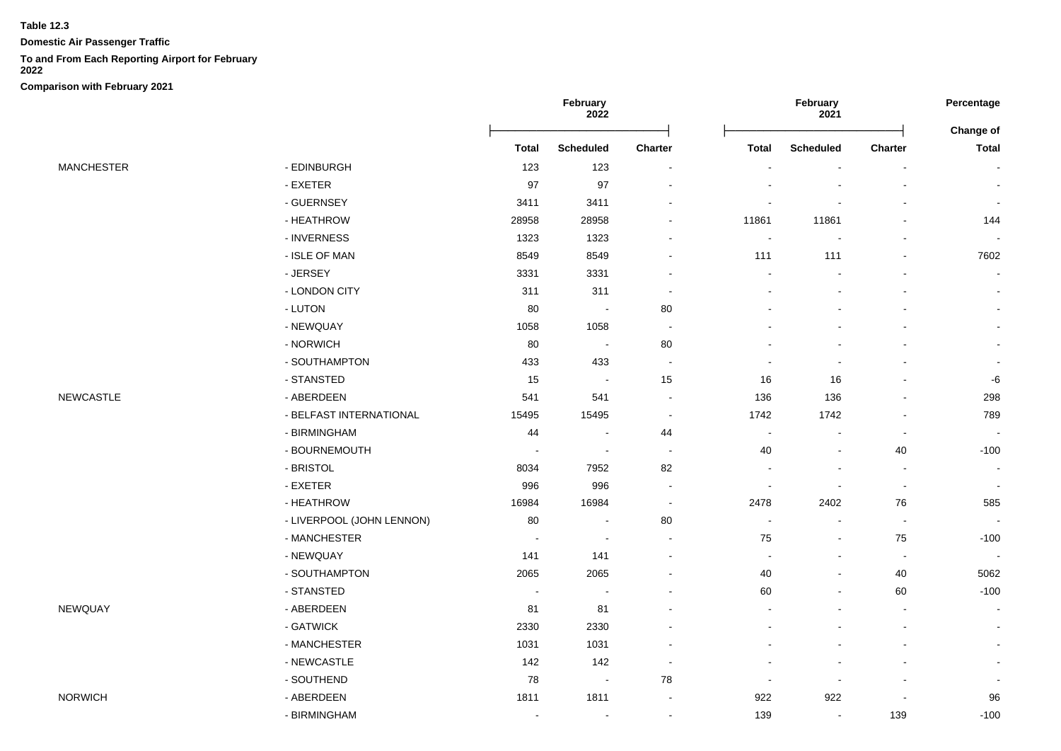**Domestic Air Passenger Traffic**

### **To and From Each Reporting Airport for February**

**2022**

|                   |                           |                          | February<br>2022 |                          |                          | February<br>2021         |                          | Percentage<br>Change of |
|-------------------|---------------------------|--------------------------|------------------|--------------------------|--------------------------|--------------------------|--------------------------|-------------------------|
|                   |                           | <b>Total</b>             | <b>Scheduled</b> | Charter                  | <b>Total</b>             | <b>Scheduled</b>         | Charter                  | <b>Total</b>            |
| <b>MANCHESTER</b> | - EDINBURGH               | 123                      | 123              |                          |                          |                          |                          |                         |
|                   | - EXETER                  | 97                       | 97               |                          |                          |                          |                          |                         |
|                   | - GUERNSEY                | 3411                     | 3411             |                          |                          |                          | $\blacksquare$           |                         |
|                   | - HEATHROW                | 28958                    | 28958            |                          | 11861                    | 11861                    |                          | 144                     |
|                   | - INVERNESS               | 1323                     | 1323             |                          | $\sim$                   | $\blacksquare$           | $\overline{\phantom{a}}$ | $\sim$                  |
|                   | - ISLE OF MAN             | 8549                     | 8549             |                          | 111                      | 111                      | $\overline{\phantom{a}}$ | 7602                    |
|                   | - JERSEY                  | 3331                     | 3331             |                          | $\sim$                   |                          |                          |                         |
|                   | - LONDON CITY             | 311                      | 311              |                          | $\blacksquare$           |                          |                          |                         |
|                   | - LUTON                   | 80                       | $\sim$           | 80                       |                          |                          |                          |                         |
|                   | - NEWQUAY                 | 1058                     | 1058             | $\sim$                   |                          |                          |                          |                         |
|                   | - NORWICH                 | 80                       | $\sim$           | 80                       |                          |                          |                          |                         |
|                   | - SOUTHAMPTON             | 433                      | 433              | $\sim$                   | $\sim$                   |                          |                          |                         |
|                   | - STANSTED                | 15                       | $\sim$           | 15                       | 16                       | 16                       |                          | -6                      |
| NEWCASTLE         | - ABERDEEN                | 541                      | 541              | $\overline{\phantom{a}}$ | 136                      | 136                      | $\blacksquare$           | 298                     |
|                   | - BELFAST INTERNATIONAL   | 15495                    | 15495            | $\sim$                   | 1742                     | 1742                     | $\blacksquare$           | 789                     |
|                   | - BIRMINGHAM              | 44                       | $\blacksquare$   | 44                       | $\overline{\phantom{a}}$ | $\overline{\phantom{a}}$ | $\blacksquare$           | $\blacksquare$          |
|                   | - BOURNEMOUTH             | $\sim$                   | $\sim$           |                          | $40\,$                   | $\blacksquare$           | 40                       | $-100$                  |
|                   | - BRISTOL                 | 8034                     | 7952             | 82                       |                          |                          | $\overline{a}$           |                         |
|                   | - EXETER                  | 996                      | 996              |                          | $\blacksquare$           | $\blacksquare$           | $\blacksquare$           | $\sim$                  |
|                   | - HEATHROW                | 16984                    | 16984            | $\sim$                   | 2478                     | 2402                     | 76                       | 585                     |
|                   | - LIVERPOOL (JOHN LENNON) | 80                       | $\blacksquare$   | 80                       | $\overline{\phantom{a}}$ | $\blacksquare$           | $\overline{\phantom{a}}$ |                         |
|                   | - MANCHESTER              | $\overline{\phantom{a}}$ | $\blacksquare$   |                          | 75                       | $\blacksquare$           | 75                       | $-100$                  |
|                   | - NEWQUAY                 | 141                      | 141              |                          | $\overline{\phantom{a}}$ | $\blacksquare$           | $\blacksquare$           | $\blacksquare$          |
|                   | - SOUTHAMPTON             | 2065                     | 2065             |                          | 40                       | $\blacksquare$           | 40                       | 5062                    |
|                   | - STANSTED                |                          |                  |                          | 60                       |                          | 60                       | $-100$                  |
| NEWQUAY           | - ABERDEEN                | 81                       | 81               |                          | $\overline{\phantom{a}}$ |                          |                          |                         |
|                   | - GATWICK                 | 2330                     | 2330             |                          | $\blacksquare$           |                          | $\blacksquare$           |                         |
|                   | - MANCHESTER              | 1031                     | 1031             |                          |                          |                          |                          |                         |
|                   | - NEWCASTLE               | 142                      | 142              |                          |                          |                          |                          |                         |
|                   | - SOUTHEND                | 78                       | $\blacksquare$   | 78                       | $\overline{\phantom{a}}$ | $\blacksquare$           | $\blacksquare$           |                         |
| <b>NORWICH</b>    | - ABERDEEN                | 1811                     | 1811             |                          | 922                      | 922                      | $\overline{a}$           | 96                      |
|                   | - BIRMINGHAM              | $\sim$                   | $\sim$           | $\sim$                   | 139                      | $\sim$                   | 139                      | $-100$                  |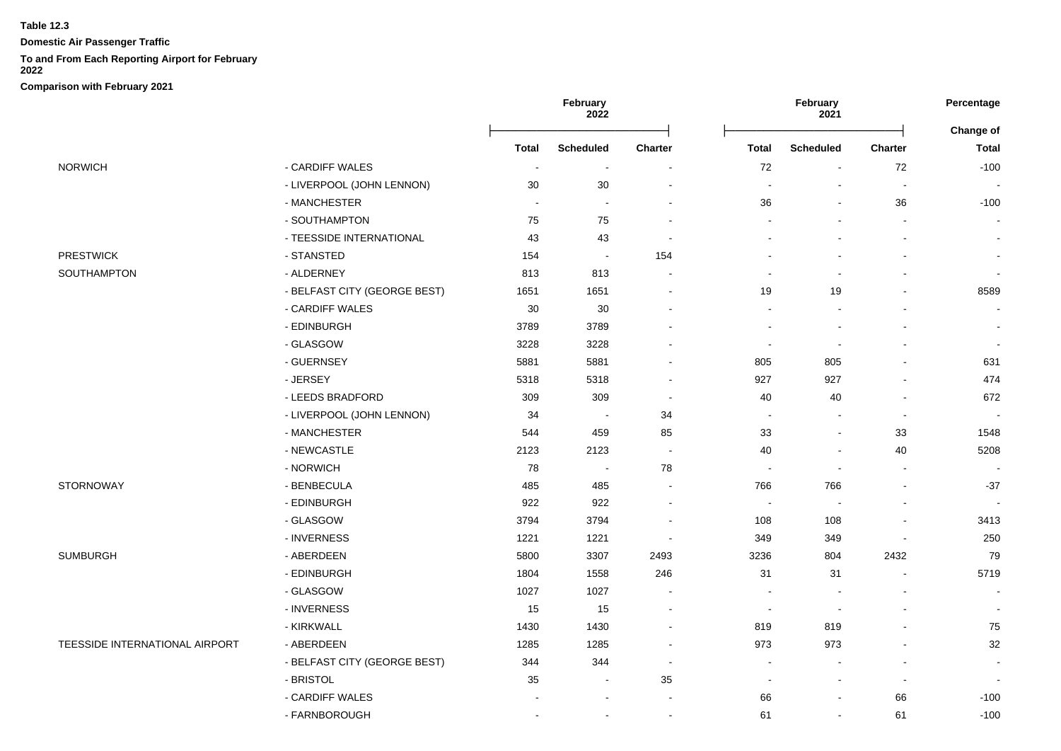**Domestic Air Passenger Traffic**

### **To and From Each Reporting Airport for February**

**2022**

|                                |                              | February<br>2022 |                            |                          | February<br>2021         |                          |                          |                          |
|--------------------------------|------------------------------|------------------|----------------------------|--------------------------|--------------------------|--------------------------|--------------------------|--------------------------|
|                                |                              |                  |                            |                          |                          |                          |                          | <b>Change of</b>         |
|                                |                              | <b>Total</b>     | Scheduled                  | <b>Charter</b>           | <b>Total</b>             | <b>Scheduled</b>         | <b>Charter</b>           | <b>Total</b>             |
| <b>NORWICH</b>                 | - CARDIFF WALES              |                  | $\sim$                     | $\blacksquare$           | $72\,$                   | $\blacksquare$           | 72                       | $-100$                   |
|                                | - LIVERPOOL (JOHN LENNON)    | 30               | 30                         | $\overline{\phantom{a}}$ |                          |                          | $\sim$                   | $\blacksquare$           |
|                                | - MANCHESTER                 | $\blacksquare$   | $\sim$                     | $\overline{\phantom{a}}$ | 36                       |                          | 36                       | $-100$                   |
|                                | - SOUTHAMPTON                | 75               | 75                         |                          |                          |                          | $\blacksquare$           | $\blacksquare$           |
|                                | - TEESSIDE INTERNATIONAL     | 43               | 43                         |                          |                          |                          |                          |                          |
| <b>PRESTWICK</b>               | - STANSTED                   | 154              | $\sim$                     | 154                      |                          |                          |                          | $\blacksquare$           |
| SOUTHAMPTON                    | - ALDERNEY                   | 813              | 813                        |                          |                          |                          |                          | $\blacksquare$           |
|                                | - BELFAST CITY (GEORGE BEST) | 1651             | 1651                       |                          | 19                       | 19                       |                          | 8589                     |
|                                | - CARDIFF WALES              | 30               | 30                         |                          |                          |                          |                          | $\blacksquare$           |
|                                | - EDINBURGH                  | 3789             | 3789                       |                          |                          |                          |                          | $\sim$                   |
|                                | - GLASGOW                    | 3228             | 3228                       |                          |                          |                          |                          |                          |
|                                | - GUERNSEY                   | 5881             | 5881                       |                          | 805                      | 805                      | $\blacksquare$           | 631                      |
|                                | - JERSEY                     | 5318             | 5318                       | $\blacksquare$           | 927                      | 927                      | $\blacksquare$           | 474                      |
|                                | - LEEDS BRADFORD             | 309              | 309                        | $\blacksquare$           | 40                       | 40                       | $\blacksquare$           | 672                      |
|                                | - LIVERPOOL (JOHN LENNON)    | 34               | $\overline{\phantom{a}}$   | 34                       |                          |                          |                          |                          |
|                                | - MANCHESTER                 | 544              | 459                        | 85                       | 33                       |                          | 33                       | 1548                     |
|                                | - NEWCASTLE                  | 2123             | 2123                       | $\sim$                   | 40                       | $\blacksquare$           | 40                       | 5208                     |
|                                | - NORWICH                    | 78               | $\mathcal{L}_{\mathbf{r}}$ | 78                       | $\overline{\phantom{a}}$ | $\overline{\phantom{a}}$ | $\sim$                   | $\sim$                   |
| <b>STORNOWAY</b>               | - BENBECULA                  | 485              | 485                        | $\blacksquare$           | 766                      | 766                      |                          | $-37$                    |
|                                | - EDINBURGH                  | 922              | 922                        | $\overline{\phantom{a}}$ | $\blacksquare$           |                          |                          |                          |
|                                | - GLASGOW                    | 3794             | 3794                       |                          | 108                      | 108                      |                          | 3413                     |
|                                | - INVERNESS                  | 1221             | 1221                       |                          | 349                      | 349                      |                          | 250                      |
| <b>SUMBURGH</b>                | - ABERDEEN                   | 5800             | 3307                       | 2493                     | 3236                     | 804                      | 2432                     | 79                       |
|                                | - EDINBURGH                  | 1804             | 1558                       | 246                      | 31                       | 31                       |                          | 5719                     |
|                                | - GLASGOW                    | 1027             | 1027                       | $\blacksquare$           |                          |                          |                          | $\blacksquare$           |
|                                | - INVERNESS                  | 15               | 15                         | $\overline{\phantom{a}}$ | $\overline{\phantom{a}}$ | $\overline{\phantom{a}}$ | $\blacksquare$           | $\blacksquare$           |
|                                | - KIRKWALL                   | 1430             | 1430                       |                          | 819                      | 819                      |                          | 75                       |
| TEESSIDE INTERNATIONAL AIRPORT | - ABERDEEN                   | 1285             | 1285                       | $\sim$                   | 973                      | 973                      | $\mathbf{r}$             | 32                       |
|                                | - BELFAST CITY (GEORGE BEST) | 344              | 344                        | $\blacksquare$           |                          |                          | ä,                       | $\blacksquare$           |
|                                | - BRISTOL                    | 35               | $\sim$                     | 35                       | $\blacksquare$           | $\overline{\phantom{a}}$ | $\overline{\phantom{a}}$ | $\overline{\phantom{a}}$ |
|                                | - CARDIFF WALES              |                  |                            |                          | 66                       |                          | 66                       | $-100$                   |
|                                | - FARNBOROUGH                |                  |                            |                          | 61                       |                          | 61                       | $-100$                   |